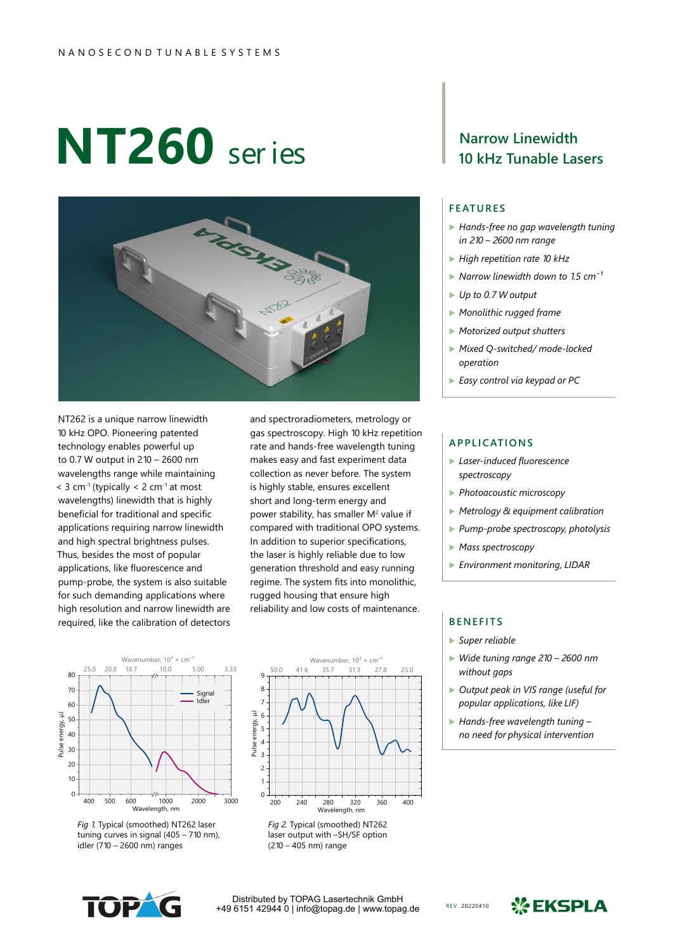# **NT260** series



NT262 is a unique narrow linewidth 10 kHz OPO. Pioneering patented technology enables powerful up to 0.7 W output in 210 – 2600 nm wavelengths range while maintaining  $<$  3 cm<sup>-1</sup> (typically  $<$  2 cm<sup>-1</sup> at most wavelengths) linewidth that is highly beneficial for traditional and specific applications requiring narrow linewidth and high spectral brightness pulses. Thus, besides the most of popular applications, like fluorescence and pump-probe, the system is also suitable for such demanding applications where high resolution and narrow linewidth are required, like the calibration of detectors and spectroradiometers, metrology or gas spectroscopy. High 10 kHz repetition rate and hands-free wavelength tuning makes easy and fast experiment data collection as never before. The system is highly stable, ensures excellent short and long-term energy and power stability, has smaller M<sup>2</sup> value if compared with traditional OPO systems. In addition to superior specifications, the laser is highly reliable due to low generation threshold and easy running regime. The system fits into monolithic, rugged housing that ensure high reliability and low costs of maintenance.



*Fig 1.* Typical (smoothed) NT262 laser tuning curves in signal (405 – 710 nm), idler (710 – 2600 nm) ranges







### **F E AT U R E S**

- ▶ *Hands-free no gap wavelength tuning in 210 – 2600 nm range*
- ▶ *High repetition rate 10 kHz*
- ▶ *Narrow linewidth down to* 1.5 cm<sup>-1</sup>
- ▶ *Up to 0.7 W output*
- ▶ *Monolithic rugged frame*
- ▶ *Motorized output shutters*
- ▶ *Mixed Q-switched/ mode-locked operation*
- ▶ *Easy control via keypad or PC*

# **A P P LI C ATI O N S**

- ▶ *Laser-induced fluorescence spectroscopy*
- ▶ *Photoacoustic microscopy*
- ▶ *Metrology & equipment calibration*
- ▶ *Pump-probe spectroscopy, photolysis*
- ▶ *Mass spectroscopy*
- ▶ *Environment monitoring, LIDAR*

#### **B E N E FI T S**

- ▶ *Super reliable*
- ▶ *Wide tuning range 210 – 2600 nm without gaps*
- ▶ *Output peak in VIS range (useful for popular applications, like LIF)*
- ▶ *Hands-free wavelength tuning – no need for physical intervention*